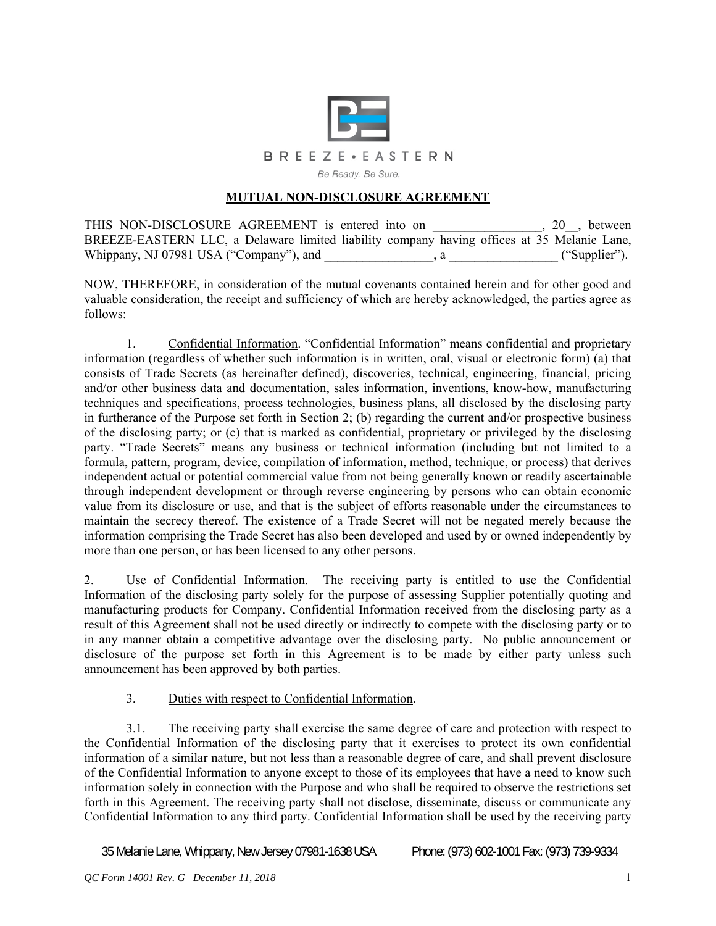

## **MUTUAL NON-DISCLOSURE AGREEMENT**

THIS NON-DISCLOSURE AGREEMENT is entered into on \_\_\_\_\_\_\_\_\_\_\_\_\_\_, 20\_, between BREEZE-EASTERN LLC, a Delaware limited liability company having offices at 35 Melanie Lane, Whippany, NJ 07981 USA ("Company"), and  $($ "Supplier").

NOW, THEREFORE, in consideration of the mutual covenants contained herein and for other good and valuable consideration, the receipt and sufficiency of which are hereby acknowledged, the parties agree as follows:

1. Confidential Information. "Confidential Information" means confidential and proprietary information (regardless of whether such information is in written, oral, visual or electronic form) (a) that consists of Trade Secrets (as hereinafter defined), discoveries, technical, engineering, financial, pricing and/or other business data and documentation, sales information, inventions, know-how, manufacturing techniques and specifications, process technologies, business plans, all disclosed by the disclosing party in furtherance of the Purpose set forth in Section 2; (b) regarding the current and/or prospective business of the disclosing party; or (c) that is marked as confidential, proprietary or privileged by the disclosing party. "Trade Secrets" means any business or technical information (including but not limited to a formula, pattern, program, device, compilation of information, method, technique, or process) that derives independent actual or potential commercial value from not being generally known or readily ascertainable through independent development or through reverse engineering by persons who can obtain economic value from its disclosure or use, and that is the subject of efforts reasonable under the circumstances to maintain the secrecy thereof. The existence of a Trade Secret will not be negated merely because the information comprising the Trade Secret has also been developed and used by or owned independently by more than one person, or has been licensed to any other persons.

2. Use of Confidential Information. The receiving party is entitled to use the Confidential Information of the disclosing party solely for the purpose of assessing Supplier potentially quoting and manufacturing products for Company. Confidential Information received from the disclosing party as a result of this Agreement shall not be used directly or indirectly to compete with the disclosing party or to in any manner obtain a competitive advantage over the disclosing party. No public announcement or disclosure of the purpose set forth in this Agreement is to be made by either party unless such announcement has been approved by both parties.

## 3. Duties with respect to Confidential Information.

3.1. The receiving party shall exercise the same degree of care and protection with respect to the Confidential Information of the disclosing party that it exercises to protect its own confidential information of a similar nature, but not less than a reasonable degree of care, and shall prevent disclosure of the Confidential Information to anyone except to those of its employees that have a need to know such information solely in connection with the Purpose and who shall be required to observe the restrictions set forth in this Agreement. The receiving party shall not disclose, disseminate, discuss or communicate any Confidential Information to any third party. Confidential Information shall be used by the receiving party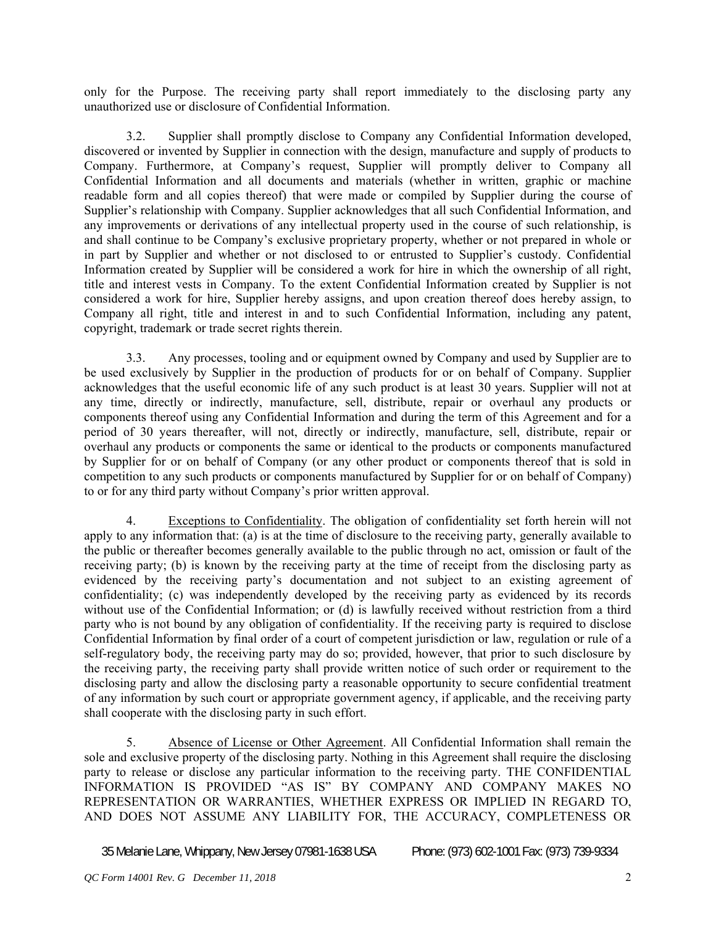only for the Purpose. The receiving party shall report immediately to the disclosing party any unauthorized use or disclosure of Confidential Information.

3.2. Supplier shall promptly disclose to Company any Confidential Information developed, discovered or invented by Supplier in connection with the design, manufacture and supply of products to Company. Furthermore, at Company's request, Supplier will promptly deliver to Company all Confidential Information and all documents and materials (whether in written, graphic or machine readable form and all copies thereof) that were made or compiled by Supplier during the course of Supplier's relationship with Company. Supplier acknowledges that all such Confidential Information, and any improvements or derivations of any intellectual property used in the course of such relationship, is and shall continue to be Company's exclusive proprietary property, whether or not prepared in whole or in part by Supplier and whether or not disclosed to or entrusted to Supplier's custody. Confidential Information created by Supplier will be considered a work for hire in which the ownership of all right, title and interest vests in Company. To the extent Confidential Information created by Supplier is not considered a work for hire, Supplier hereby assigns, and upon creation thereof does hereby assign, to Company all right, title and interest in and to such Confidential Information, including any patent, copyright, trademark or trade secret rights therein.

3.3. Any processes, tooling and or equipment owned by Company and used by Supplier are to be used exclusively by Supplier in the production of products for or on behalf of Company. Supplier acknowledges that the useful economic life of any such product is at least 30 years. Supplier will not at any time, directly or indirectly, manufacture, sell, distribute, repair or overhaul any products or components thereof using any Confidential Information and during the term of this Agreement and for a period of 30 years thereafter, will not, directly or indirectly, manufacture, sell, distribute, repair or overhaul any products or components the same or identical to the products or components manufactured by Supplier for or on behalf of Company (or any other product or components thereof that is sold in competition to any such products or components manufactured by Supplier for or on behalf of Company) to or for any third party without Company's prior written approval.

4. Exceptions to Confidentiality. The obligation of confidentiality set forth herein will not apply to any information that: (a) is at the time of disclosure to the receiving party, generally available to the public or thereafter becomes generally available to the public through no act, omission or fault of the receiving party; (b) is known by the receiving party at the time of receipt from the disclosing party as evidenced by the receiving party's documentation and not subject to an existing agreement of confidentiality; (c) was independently developed by the receiving party as evidenced by its records without use of the Confidential Information; or (d) is lawfully received without restriction from a third party who is not bound by any obligation of confidentiality. If the receiving party is required to disclose Confidential Information by final order of a court of competent jurisdiction or law, regulation or rule of a self-regulatory body, the receiving party may do so; provided, however, that prior to such disclosure by the receiving party, the receiving party shall provide written notice of such order or requirement to the disclosing party and allow the disclosing party a reasonable opportunity to secure confidential treatment of any information by such court or appropriate government agency, if applicable, and the receiving party shall cooperate with the disclosing party in such effort.

5. Absence of License or Other Agreement. All Confidential Information shall remain the sole and exclusive property of the disclosing party. Nothing in this Agreement shall require the disclosing party to release or disclose any particular information to the receiving party. THE CONFIDENTIAL INFORMATION IS PROVIDED "AS IS" BY COMPANY AND COMPANY MAKES NO REPRESENTATION OR WARRANTIES, WHETHER EXPRESS OR IMPLIED IN REGARD TO, AND DOES NOT ASSUME ANY LIABILITY FOR, THE ACCURACY, COMPLETENESS OR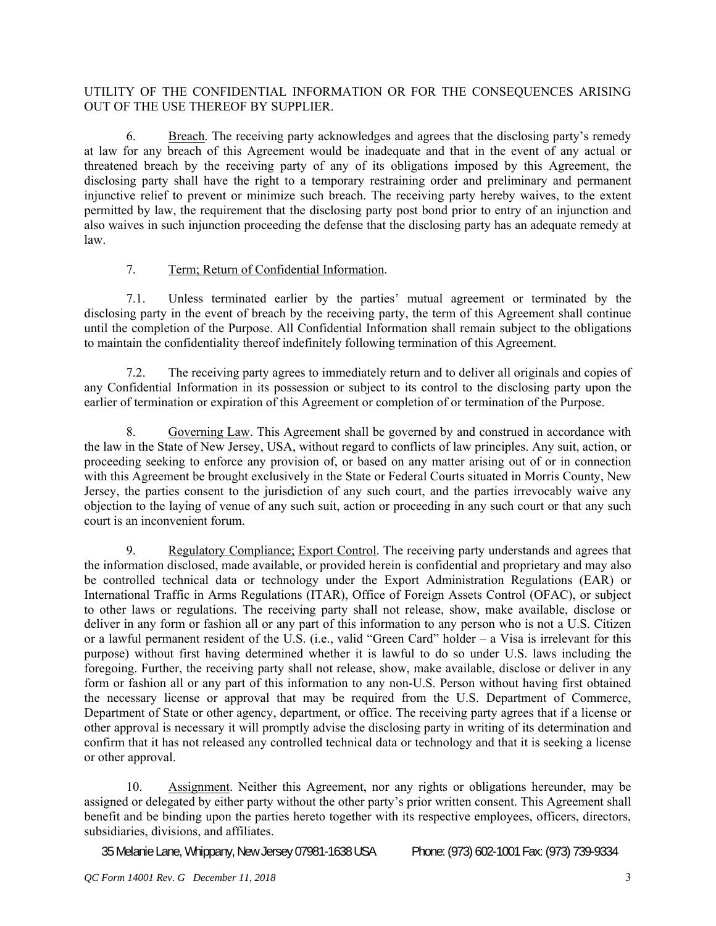## UTILITY OF THE CONFIDENTIAL INFORMATION OR FOR THE CONSEQUENCES ARISING OUT OF THE USE THEREOF BY SUPPLIER.

6. Breach. The receiving party acknowledges and agrees that the disclosing party's remedy at law for any breach of this Agreement would be inadequate and that in the event of any actual or threatened breach by the receiving party of any of its obligations imposed by this Agreement, the disclosing party shall have the right to a temporary restraining order and preliminary and permanent injunctive relief to prevent or minimize such breach. The receiving party hereby waives, to the extent permitted by law, the requirement that the disclosing party post bond prior to entry of an injunction and also waives in such injunction proceeding the defense that the disclosing party has an adequate remedy at law.

## 7. Term; Return of Confidential Information.

7.1. Unless terminated earlier by the parties' mutual agreement or terminated by the disclosing party in the event of breach by the receiving party, the term of this Agreement shall continue until the completion of the Purpose. All Confidential Information shall remain subject to the obligations to maintain the confidentiality thereof indefinitely following termination of this Agreement.

7.2. The receiving party agrees to immediately return and to deliver all originals and copies of any Confidential Information in its possession or subject to its control to the disclosing party upon the earlier of termination or expiration of this Agreement or completion of or termination of the Purpose.

8. Governing Law. This Agreement shall be governed by and construed in accordance with the law in the State of New Jersey, USA, without regard to conflicts of law principles. Any suit, action, or proceeding seeking to enforce any provision of, or based on any matter arising out of or in connection with this Agreement be brought exclusively in the State or Federal Courts situated in Morris County, New Jersey, the parties consent to the jurisdiction of any such court, and the parties irrevocably waive any objection to the laying of venue of any such suit, action or proceeding in any such court or that any such court is an inconvenient forum.

9. Regulatory Compliance; Export Control. The receiving party understands and agrees that the information disclosed, made available, or provided herein is confidential and proprietary and may also be controlled technical data or technology under the Export Administration Regulations (EAR) or International Traffic in Arms Regulations (ITAR), Office of Foreign Assets Control (OFAC), or subject to other laws or regulations. The receiving party shall not release, show, make available, disclose or deliver in any form or fashion all or any part of this information to any person who is not a U.S. Citizen or a lawful permanent resident of the U.S. (i.e., valid "Green Card" holder – a Visa is irrelevant for this purpose) without first having determined whether it is lawful to do so under U.S. laws including the foregoing. Further, the receiving party shall not release, show, make available, disclose or deliver in any form or fashion all or any part of this information to any non-U.S. Person without having first obtained the necessary license or approval that may be required from the U.S. Department of Commerce, Department of State or other agency, department, or office. The receiving party agrees that if a license or other approval is necessary it will promptly advise the disclosing party in writing of its determination and confirm that it has not released any controlled technical data or technology and that it is seeking a license or other approval.

10. Assignment. Neither this Agreement, nor any rights or obligations hereunder, may be assigned or delegated by either party without the other party's prior written consent. This Agreement shall benefit and be binding upon the parties hereto together with its respective employees, officers, directors, subsidiaries, divisions, and affiliates.